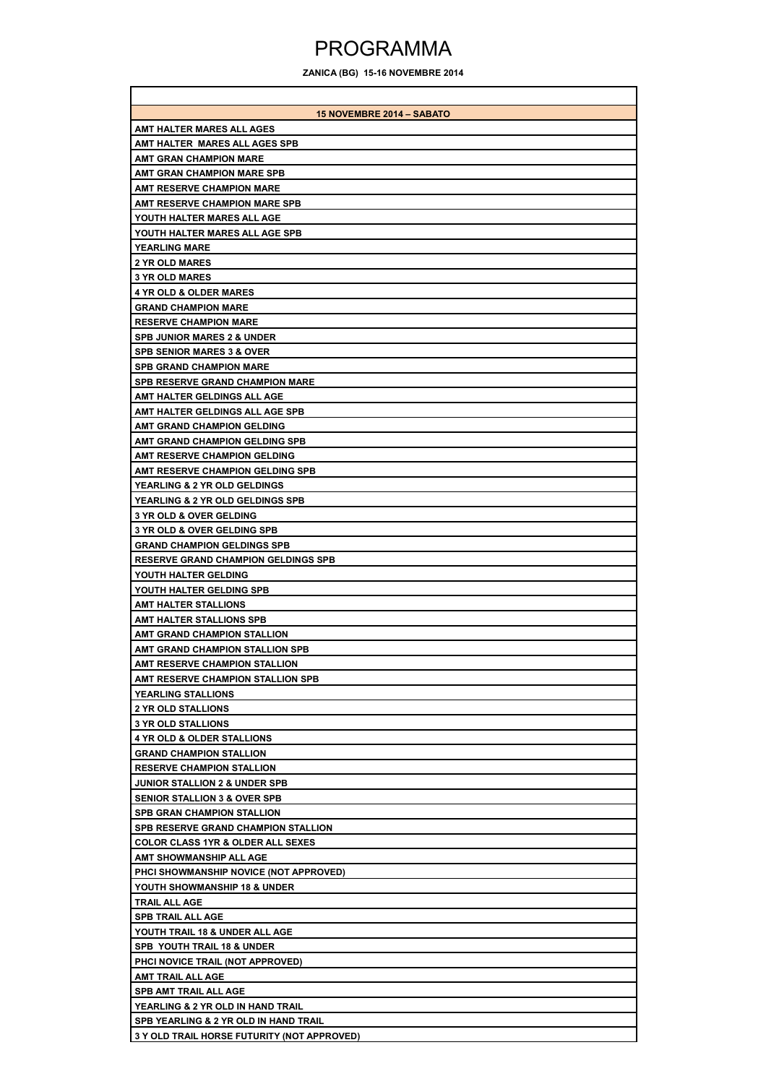## PROGRAMMA

**ZANICA (BG) 15-16 NOVEMBRE 2014**

| <b>15 NOVEMBRE 2014 - SABATO</b>                                                    |
|-------------------------------------------------------------------------------------|
| AMT HALTER MARES ALL AGES                                                           |
| AMT HALTER MARES ALL AGES SPB                                                       |
| <b>AMT GRAN CHAMPION MARE</b>                                                       |
| AMT GRAN CHAMPION MARE SPB                                                          |
| <b>AMT RESERVE CHAMPION MARE</b>                                                    |
| <b>AMT RESERVE CHAMPION MARE SPB</b>                                                |
| YOUTH HALTER MARES ALL AGE                                                          |
| YOUTH HALTER MARES ALL AGE SPB                                                      |
| <b>YEARLING MARE</b>                                                                |
| 2 YR OLD MARES                                                                      |
| <b>3 YR OLD MARES</b>                                                               |
| <b>4 YR OLD &amp; OLDER MARES</b>                                                   |
| <b>GRAND CHAMPION MARE</b>                                                          |
| <b>RESERVE CHAMPION MARE</b>                                                        |
| <b>SPB JUNIOR MARES 2 &amp; UNDER</b>                                               |
| <b>SPB SENIOR MARES 3 &amp; OVER</b>                                                |
| <b>SPB GRAND CHAMPION MARE</b>                                                      |
| <b>SPB RESERVE GRAND CHAMPION MARE</b>                                              |
| AMT HALTER GELDINGS ALL AGE                                                         |
| AMT HALTER GELDINGS ALL AGE SPB                                                     |
| AMT GRAND CHAMPION GELDING                                                          |
| AMT GRAND CHAMPION GELDING SPB                                                      |
| AMT RESERVE CHAMPION GELDING                                                        |
| AMT RESERVE CHAMPION GELDING SPB                                                    |
| <b>YEARLING &amp; 2 YR OLD GELDINGS</b>                                             |
| <b>YEARLING &amp; 2 YR OLD GELDINGS SPB</b>                                         |
| <b>3 YR OLD &amp; OVER GELDING</b>                                                  |
| <b>3 YR OLD &amp; OVER GELDING SPB</b>                                              |
| <b>GRAND CHAMPION GELDINGS SPB</b>                                                  |
| <b>RESERVE GRAND CHAMPION GELDINGS SPB</b>                                          |
| YOUTH HALTER GELDING                                                                |
| YOUTH HALTER GELDING SPB                                                            |
| <b>AMT HALTER STALLIONS</b>                                                         |
| AMT HALTER STALLIONS SPB                                                            |
| AMT GRAND CHAMPION STALLION                                                         |
| AMT GRAND CHAMPION STALLION SPB                                                     |
| <b>AMT RESERVE CHAMPION STALLION</b>                                                |
| AMT RESERVE CHAMPION STALLION SPB                                                   |
| <b>YEARLING STALLIONS</b>                                                           |
| <b>2 YR OLD STALLIONS</b>                                                           |
| <b>3 YR OLD STALLIONS</b>                                                           |
| <b>4 YR OLD &amp; OLDER STALLIONS</b>                                               |
| <b>GRAND CHAMPION STALLION</b>                                                      |
| <b>RESERVE CHAMPION STALLION</b>                                                    |
| <b>JUNIOR STALLION 2 &amp; UNDER SPB</b><br><b>SENIOR STALLION 3 &amp; OVER SPB</b> |
| <b>SPB GRAN CHAMPION STALLION</b>                                                   |
| SPB RESERVE GRAND CHAMPION STALLION                                                 |
| <b>COLOR CLASS 1YR &amp; OLDER ALL SEXES</b>                                        |
| AMT SHOWMANSHIP ALL AGE                                                             |
| PHCI SHOWMANSHIP NOVICE (NOT APPROVED)                                              |
| YOUTH SHOWMANSHIP 18 & UNDER                                                        |
| TRAIL ALL AGE                                                                       |
| <b>SPB TRAIL ALL AGE</b>                                                            |
| YOUTH TRAIL 18 & UNDER ALL AGE                                                      |
| SPB YOUTH TRAIL 18 & UNDER                                                          |
| PHCI NOVICE TRAIL (NOT APPROVED)                                                    |
| AMT TRAIL ALL AGE                                                                   |
| <b>SPB AMT TRAIL ALL AGE</b>                                                        |
| YEARLING & 2 YR OLD IN HAND TRAIL                                                   |
| SPB YEARLING & 2 YR OLD IN HAND TRAIL                                               |
| 3 Y OLD TRAIL HORSE FUTURITY (NOT APPROVED)                                         |